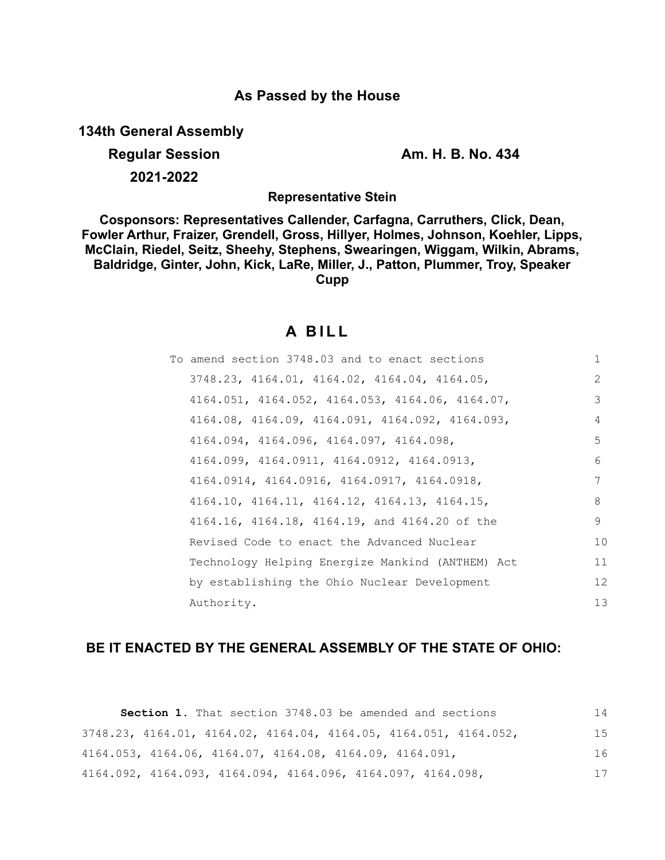## **As Passed by the House**

**134th General Assembly**

**Regular Session Am. H. B. No. 434**

**2021-2022**

**Representative Stein**

**Cosponsors: Representatives Callender, Carfagna, Carruthers, Click, Dean, Fowler Arthur, Fraizer, Grendell, Gross, Hillyer, Holmes, Johnson, Koehler, Lipps, McClain, Riedel, Seitz, Sheehy, Stephens, Swearingen, Wiggam, Wilkin, Abrams, Baldridge, Ginter, John, Kick, LaRe, Miller, J., Patton, Plummer, Troy, Speaker Cupp**

## **A B I L L**

| To amend section 3748.03 and to enact sections   | 1             |
|--------------------------------------------------|---------------|
| 3748.23, 4164.01, 4164.02, 4164.04, 4164.05,     | $\mathcal{L}$ |
| 4164.051, 4164.052, 4164.053, 4164.06, 4164.07,  | 3             |
| 4164.08, 4164.09, 4164.091, 4164.092, 4164.093,  | 4             |
| 4164.094, 4164.096, 4164.097, 4164.098,          | 5             |
| 4164.099, 4164.0911, 4164.0912, 4164.0913,       | 6             |
| $4164.0914, 4164.0916, 4164.0917, 4164.0918,$    | 7             |
| 4164.10, 4164.11, 4164.12, 4164.13, 4164.15,     | 8             |
| 4164.16, 4164.18, 4164.19, and 4164.20 of the    | 9             |
| Revised Code to enact the Advanced Nuclear       | 10            |
| Technology Helping Energize Mankind (ANTHEM) Act | 11            |
| by establishing the Ohio Nuclear Development     | 12            |
| Authority.                                       | 13            |

## **BE IT ENACTED BY THE GENERAL ASSEMBLY OF THE STATE OF OHIO:**

**Section 1.** That section 3748.03 be amended and sections 3748.23, 4164.01, 4164.02, 4164.04, 4164.05, 4164.051, 4164.052, 4164.053, 4164.06, 4164.07, 4164.08, 4164.09, 4164.091, 4164.092, 4164.093, 4164.094, 4164.096, 4164.097, 4164.098, 14 15 16 17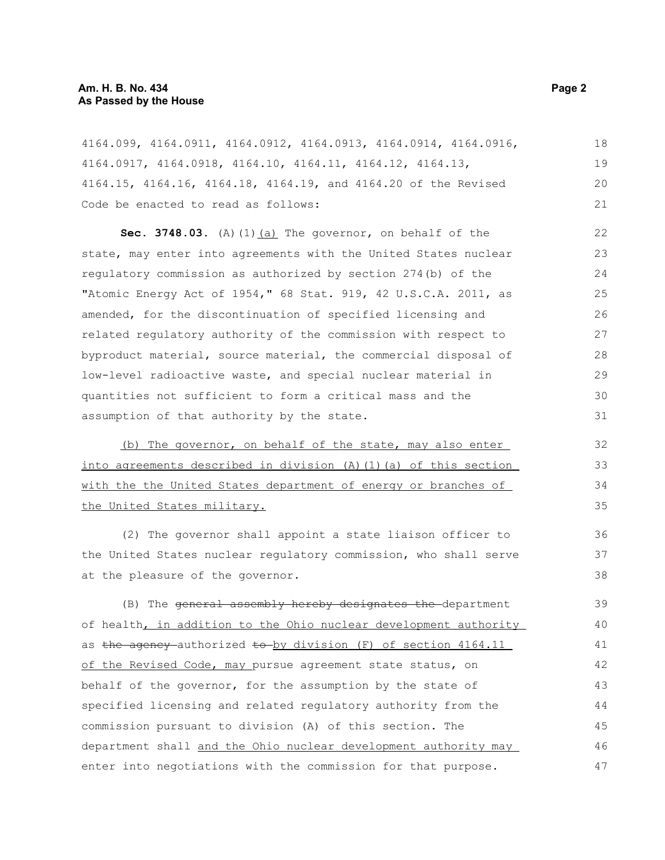4164.099, 4164.0911, 4164.0912, 4164.0913, 4164.0914, 4164.0916, 4164.0917, 4164.0918, 4164.10, 4164.11, 4164.12, 4164.13, 4164.15, 4164.16, 4164.18, 4164.19, and 4164.20 of the Revised Code be enacted to read as follows: 18 19 20 21

Sec. 3748.03. (A)(1)(a) The governor, on behalf of the state, may enter into agreements with the United States nuclear regulatory commission as authorized by section 274(b) of the "Atomic Energy Act of 1954," 68 Stat. 919, 42 U.S.C.A. 2011, as amended, for the discontinuation of specified licensing and related regulatory authority of the commission with respect to byproduct material, source material, the commercial disposal of low-level radioactive waste, and special nuclear material in quantities not sufficient to form a critical mass and the assumption of that authority by the state.

(b) The governor, on behalf of the state, may also enter into agreements described in division (A)(1)(a) of this section with the the United States department of energy or branches of the United States military.

(2) The governor shall appoint a state liaison officer to the United States nuclear regulatory commission, who shall serve at the pleasure of the governor.

(B) The general assembly hereby designates the department of health, in addition to the Ohio nuclear development authority as the agency authorized to by division  $(F)$  of section 4164.11 of the Revised Code, may pursue agreement state status, on behalf of the governor, for the assumption by the state of specified licensing and related regulatory authority from the commission pursuant to division (A) of this section. The department shall and the Ohio nuclear development authority may enter into negotiations with the commission for that purpose. 39 40 41 42 43 44 45 46 47

36 37 38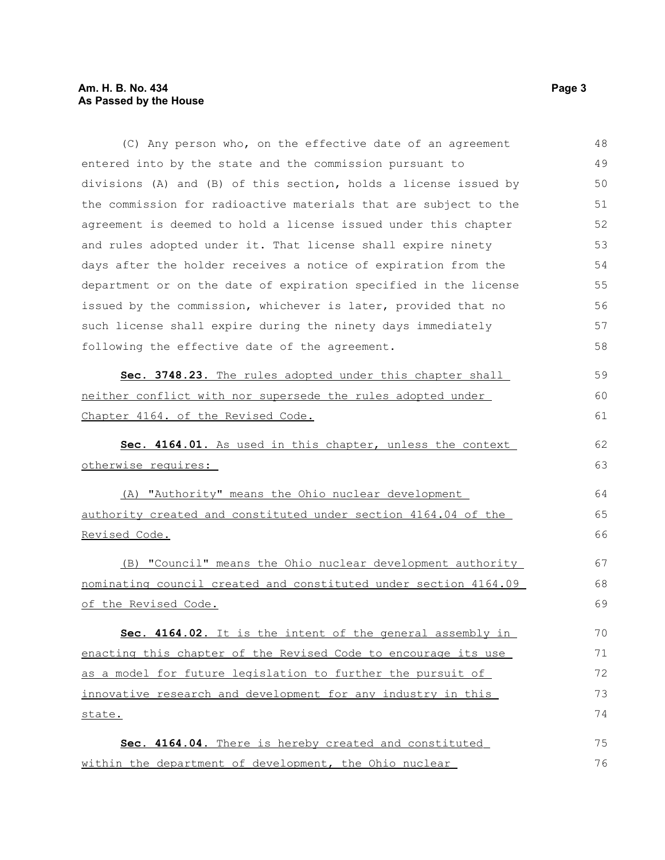## **Am. H. B. No. 434** Page 3 **As Passed by the House**

(C) Any person who, on the effective date of an agreement entered into by the state and the commission pursuant to divisions (A) and (B) of this section, holds a license issued by the commission for radioactive materials that are subject to the agreement is deemed to hold a license issued under this chapter and rules adopted under it. That license shall expire ninety days after the holder receives a notice of expiration from the department or on the date of expiration specified in the license issued by the commission, whichever is later, provided that no such license shall expire during the ninety days immediately following the effective date of the agreement. **Sec. 3748.23.** The rules adopted under this chapter shall neither conflict with nor supersede the rules adopted under Chapter 4164. of the Revised Code. **Sec. 4164.01.** As used in this chapter, unless the context otherwise requires: (A) "Authority" means the Ohio nuclear development authority created and constituted under section 4164.04 of the Revised Code. (B) "Council" means the Ohio nuclear development authority nominating council created and constituted under section 4164.09 of the Revised Code. **Sec. 4164.02.** It is the intent of the general assembly in enacting this chapter of the Revised Code to encourage its use as a model for future legislation to further the pursuit of innovative research and development for any industry in this state. **Sec. 4164.04.** There is hereby created and constituted within the department of development, the Ohio nuclear 48 49 50 51 52 53 54 55 56 57 58 59 60 61 62 63 64 65 66 67 68 69 70 71 72 73 74 75 76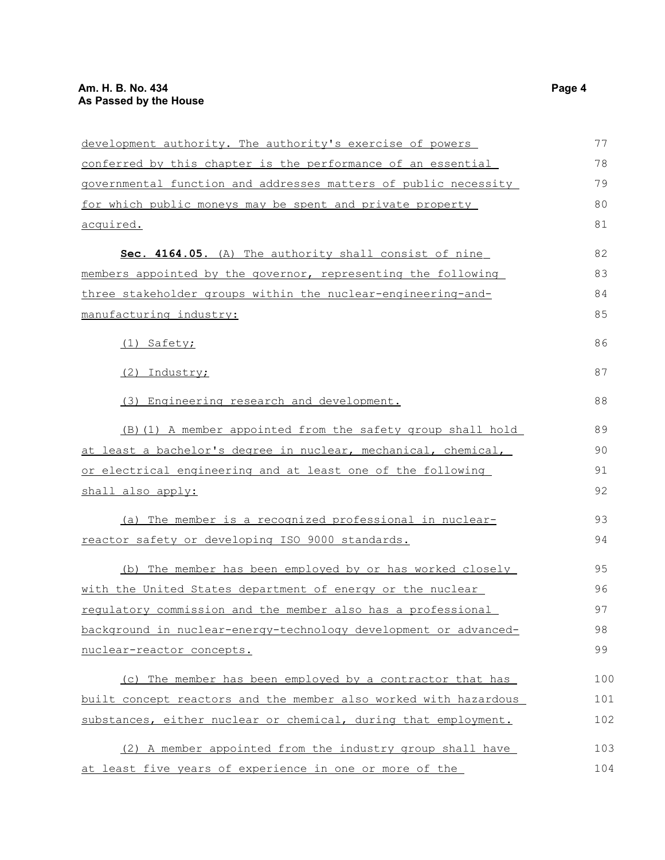| development authority. The authority's exercise of powers        | 77  |
|------------------------------------------------------------------|-----|
| conferred by this chapter is the performance of an essential     | 78  |
| governmental function and addresses matters of public necessity  | 79  |
| for which public moneys may be spent and private property        | 80  |
| <u>acquired.</u>                                                 | 81  |
| Sec. 4164.05. (A) The authority shall consist of nine            | 82  |
| members appointed by the governor, representing the following    | 83  |
| three stakeholder groups within the nuclear-engineering-and-     | 84  |
| manufacturing industry:                                          | 85  |
| (1) Safety;                                                      | 86  |
| (2) Industry;                                                    | 87  |
| (3) Engineering research and development.                        | 88  |
| (B) (1) A member appointed from the safety group shall hold      | 89  |
| at least a bachelor's degree in nuclear, mechanical, chemical,   | 90  |
| or electrical engineering and at least one of the following      | 91  |
| shall also apply:                                                | 92  |
| (a) The member is a recognized professional in nuclear-          | 93  |
| reactor safety or developing ISO 9000 standards.                 | 94  |
| (b) The member has been employed by or has worked closely        | 95  |
| with the United States department of energy or the nuclear       | 96  |
| requlatory commission and the member also has a professional     | 97  |
| background in nuclear-energy-technology development or advanced- | 98  |
| nuclear-reactor concepts.                                        | 99  |
| (c) The member has been employed by a contractor that has        | 100 |
| built concept reactors and the member also worked with hazardous | 101 |
| substances, either nuclear or chemical, during that employment.  | 102 |
| (2) A member appointed from the industry group shall have        | 103 |
| at least five years of experience in one or more of the          | 104 |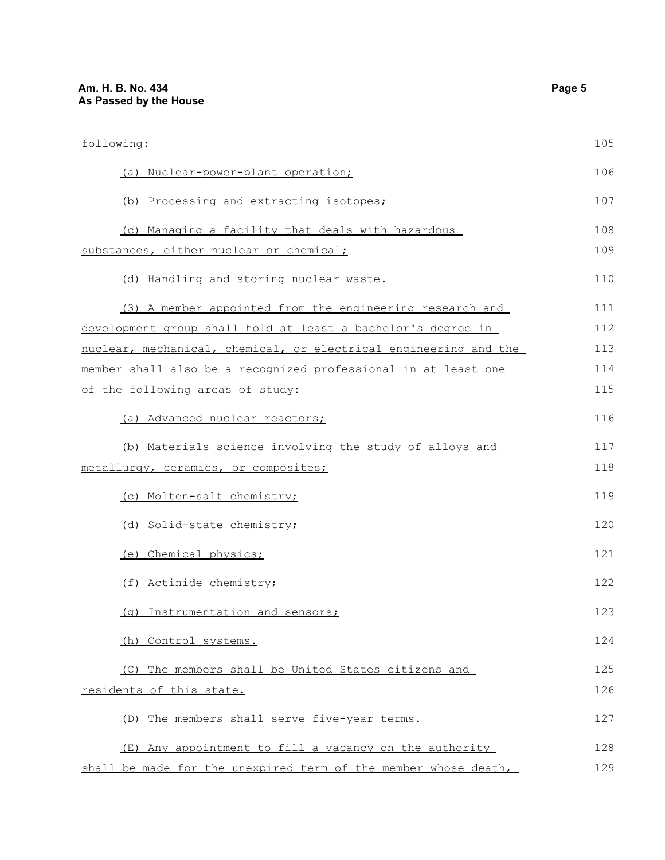| following:                                                       | 105 |
|------------------------------------------------------------------|-----|
| (a) Nuclear-power-plant operation;                               | 106 |
| (b) Processing and extracting isotopes;                          | 107 |
| (c) Managing a facility that deals with hazardous                | 108 |
| substances, either nuclear or chemical;                          | 109 |
| (d) Handling and storing nuclear waste.                          | 110 |
| (3) A member appointed from the engineering research and         | 111 |
| development group shall hold at least a bachelor's degree in     | 112 |
| nuclear, mechanical, chemical, or electrical engineering and the | 113 |
| member shall also be a recognized professional in at least one   | 114 |
| of the following areas of study:                                 | 115 |
| (a) Advanced nuclear reactors;                                   | 116 |
| (b) Materials science involving the study of alloys and          | 117 |
| metallurgy, ceramics, or composites;                             | 118 |
| (c) Molten-salt chemistry;                                       | 119 |
| (d) Solid-state chemistry;                                       | 120 |
| (e) Chemical physics;                                            | 121 |
| (f) Actinide chemistry;                                          | 122 |
| (g) Instrumentation and sensors;                                 | 123 |
| (h) Control systems.                                             | 124 |
| (C) The members shall be United States citizens and              | 125 |
| residents of this state.                                         | 126 |
| The members shall serve five-year terms.<br>(D)                  | 127 |
| (E) Any appointment to fill a vacancy on the authority           | 128 |
| shall be made for the unexpired term of the member whose death,  | 129 |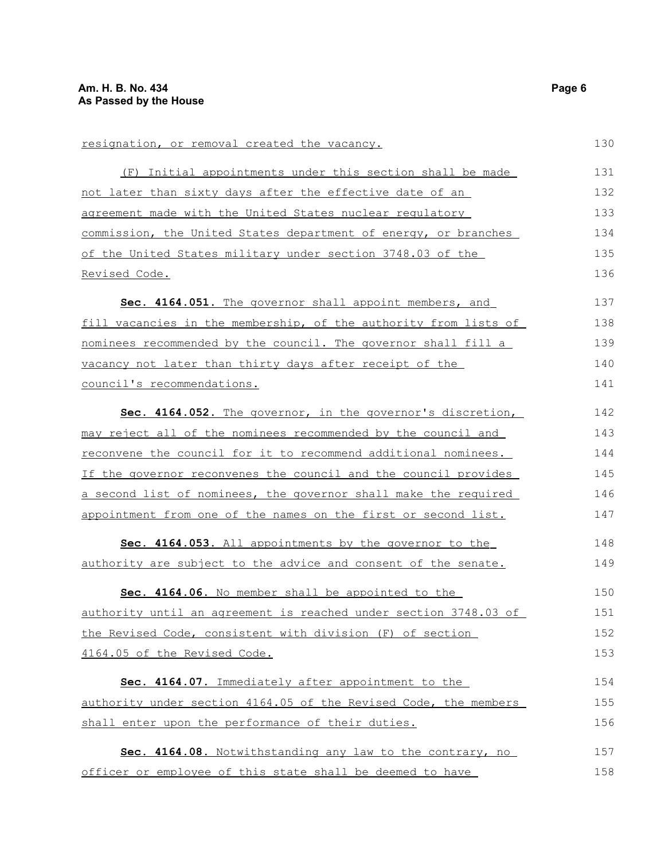| resignation, or removal created the vacancy.                            | 130 |
|-------------------------------------------------------------------------|-----|
| (F) Initial appointments under this section shall be made               | 131 |
| <u>not later than sixty days after the effective date of an</u>         | 132 |
| agreement made with the United States nuclear regulatory                | 133 |
| commission, the United States department of energy, or branches         | 134 |
| of the United States military under section 3748.03 of the              | 135 |
| <u>Revised Code.</u>                                                    | 136 |
| Sec. 4164.051. The governor shall appoint members, and                  | 137 |
| fill vacancies in the membership, of the authority from lists of        | 138 |
| nominees recommended by the council. The governor shall fill a          | 139 |
| vacancy not later than thirty days after receipt of the                 | 140 |
| council's recommendations.                                              | 141 |
| Sec. 4164.052. The governor, in the governor's discretion,              | 142 |
| may reject all of the nominees recommended by the council and           | 143 |
| <u>reconvene the council for it to recommend additional nominees.</u>   | 144 |
| If the governor reconvenes the council and the council provides         | 145 |
| <u>a second list of nominees, the governor shall make the required</u>  | 146 |
| appointment from one of the names on the first or second list.          | 147 |
| Sec. 4164.053. All appointments by the governor to the                  | 148 |
| authority are subject to the advice and consent of the senate.          | 149 |
| Sec. 4164.06. No member shall be appointed to the                       | 150 |
| <u>authority until an agreement is reached under section 3748.03 of</u> | 151 |
| the Revised Code, consistent with division (F) of section               | 152 |
| 4164.05 of the Revised Code.                                            | 153 |
| Sec. 4164.07. Immediately after appointment to the                      | 154 |
| authority under section 4164.05 of the Revised Code, the members        | 155 |
| shall enter upon the performance of their duties.                       | 156 |
| Sec. 4164.08. Notwithstanding any law to the contrary, no               | 157 |
| officer or employee of this state shall be deemed to have               | 158 |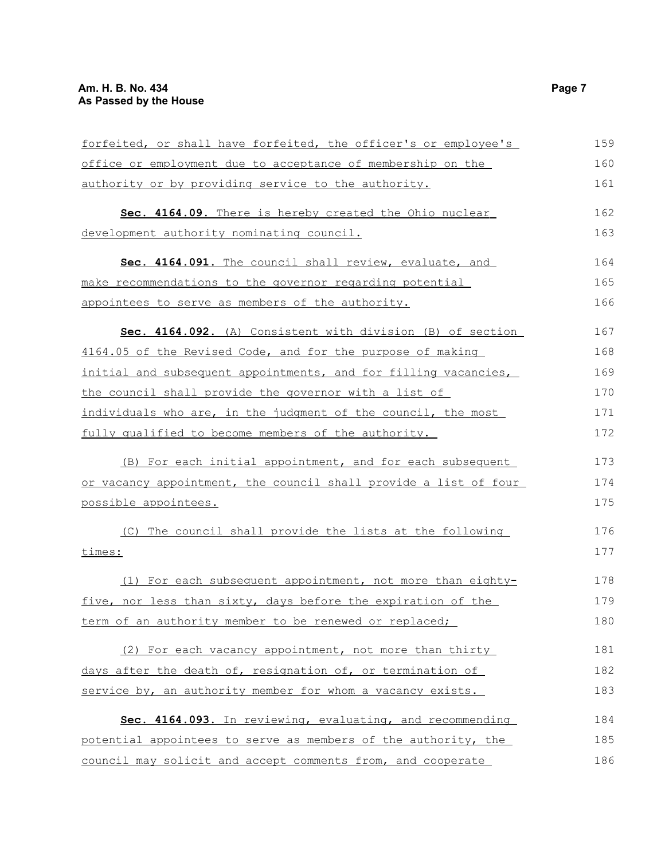| forfeited, or shall have forfeited, the officer's or employee's  | 159 |
|------------------------------------------------------------------|-----|
| office or employment due to acceptance of membership on the      | 160 |
| authority or by providing service to the authority.              | 161 |
| Sec. 4164.09. There is hereby created the Ohio nuclear           | 162 |
| development authority nominating council.                        | 163 |
| Sec. 4164.091. The council shall review, evaluate, and           | 164 |
| make recommendations to the governor regarding potential         | 165 |
| appointees to serve as members of the authority.                 | 166 |
| Sec. 4164.092. (A) Consistent with division (B) of section       | 167 |
| 4164.05 of the Revised Code, and for the purpose of making       | 168 |
| initial and subsequent appointments, and for filling vacancies,  | 169 |
| the council shall provide the governor with a list of            | 170 |
| individuals who are, in the judgment of the council, the most    | 171 |
| fully qualified to become members of the authority.              | 172 |
| (B) For each initial appointment, and for each subsequent        | 173 |
| or vacancy appointment, the council shall provide a list of four | 174 |
| possible appointees.                                             | 175 |
| (C) The council shall provide the lists at the following         | 176 |
| times:                                                           | 177 |
| (1) For each subsequent appointment, not more than eighty-       | 178 |
| five, nor less than sixty, days before the expiration of the     | 179 |
| term of an authority member to be renewed or replaced;           | 180 |
| (2) For each vacancy appointment, not more than thirty           | 181 |
| days after the death of, resignation of, or termination of       | 182 |
| service by, an authority member for whom a vacancy exists.       | 183 |
| Sec. 4164.093. In reviewing, evaluating, and recommending        | 184 |
| potential appointees to serve as members of the authority, the   | 185 |
| council may solicit and accept comments from, and cooperate      | 186 |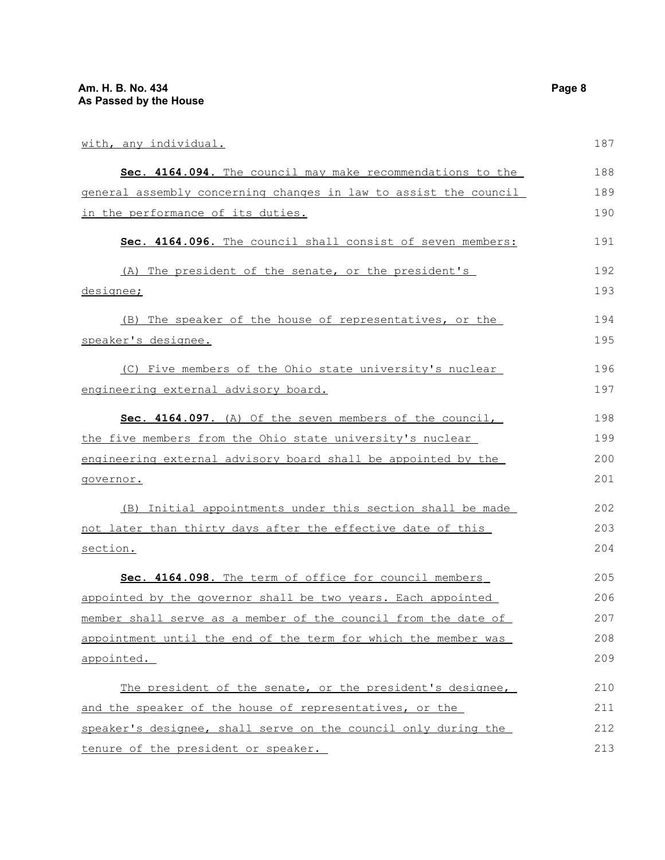| with, any individual.                                            | 187 |
|------------------------------------------------------------------|-----|
| Sec. 4164.094. The council may make recommendations to the       | 188 |
| general assembly concerning changes in law to assist the council | 189 |
| in the performance of its duties.                                | 190 |
| Sec. 4164.096. The council shall consist of seven members:       | 191 |
| (A) The president of the senate, or the president's              | 192 |
| designee;                                                        | 193 |
| (B) The speaker of the house of representatives, or the          | 194 |
| speaker's designee.                                              | 195 |
| (C) Five members of the Ohio state university's nuclear          | 196 |
| engineering external advisory board.                             | 197 |
| Sec. 4164.097. (A) Of the seven members of the council,          | 198 |
| the five members from the Ohio state university's nuclear        | 199 |
| engineering external advisory board shall be appointed by the    | 200 |
| governor.                                                        | 201 |
| (B) Initial appointments under this section shall be made        | 202 |
| not later than thirty days after the effective date of this      | 203 |
| section.                                                         | 204 |
| Sec. 4164.098. The term of office for council members            | 205 |
| appointed by the governor shall be two years. Each appointed     | 206 |
| member shall serve as a member of the council from the date of   | 207 |
| appointment until the end of the term for which the member was   | 208 |
| appointed.                                                       | 209 |
| The president of the senate, or the president's designee,        | 210 |
| and the speaker of the house of representatives, or the          | 211 |
| speaker's designee, shall serve on the council only during the   | 212 |
| tenure of the president or speaker.                              | 213 |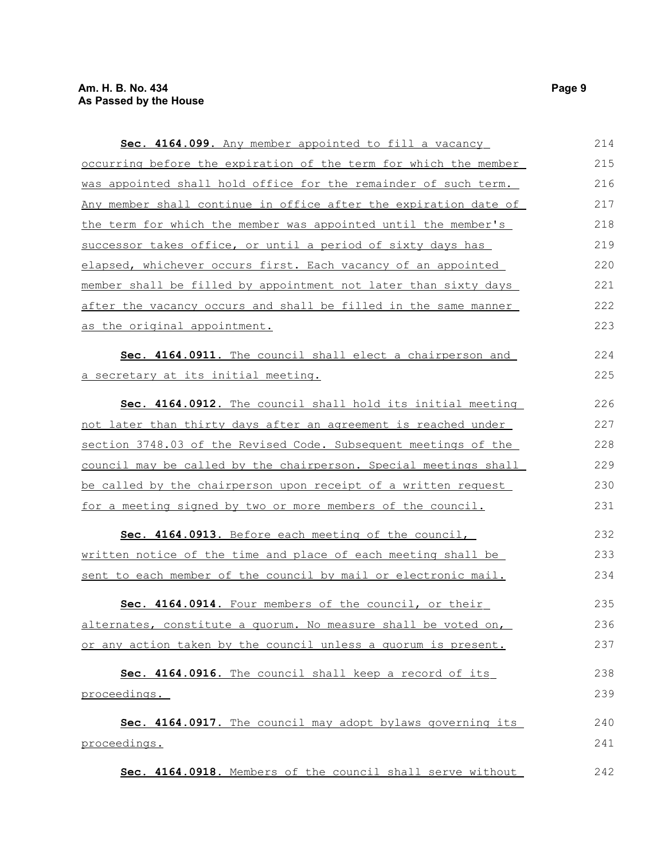| Sec. 4164.099. Any member appointed to fill a vacancy            | 214 |
|------------------------------------------------------------------|-----|
| occurring before the expiration of the term for which the member | 215 |
| was appointed shall hold office for the remainder of such term.  | 216 |
| Any member shall continue in office after the expiration date of | 217 |
| the term for which the member was appointed until the member's   | 218 |
| successor takes office, or until a period of sixty days has      | 219 |
| elapsed, whichever occurs first. Each vacancy of an appointed    | 220 |
| member shall be filled by appointment not later than sixty days  | 221 |
| after the vacancy occurs and shall be filled in the same manner  | 222 |
| as the original appointment.                                     | 223 |
| Sec. 4164.0911. The council shall elect a chairperson and        | 224 |
| a secretary at its initial meeting.                              | 225 |
| Sec. 4164.0912. The council shall hold its initial meeting       | 226 |
| not later than thirty days after an agreement is reached under   | 227 |
| section 3748.03 of the Revised Code. Subsequent meetings of the  | 228 |
| council may be called by the chairperson. Special meetings shall | 229 |
| be called by the chairperson upon receipt of a written request   | 230 |
| for a meeting signed by two or more members of the council.      | 231 |
| Sec. 4164.0913. Before each meeting of the council,              | 232 |
| written notice of the time and place of each meeting shall be    | 233 |
| sent to each member of the council by mail or electronic mail.   | 234 |
| Sec. 4164.0914. Four members of the council, or their            | 235 |
| alternates, constitute a quorum. No measure shall be voted on,   | 236 |
| or any action taken by the council unless a quorum is present.   | 237 |
| Sec. 4164.0916. The council shall keep a record of its           | 238 |
| proceedings.                                                     | 239 |
| Sec. 4164.0917. The council may adopt bylaws governing its       | 240 |
| proceedings.                                                     | 241 |
| Sec. 4164.0918. Members of the council shall serve without       | 242 |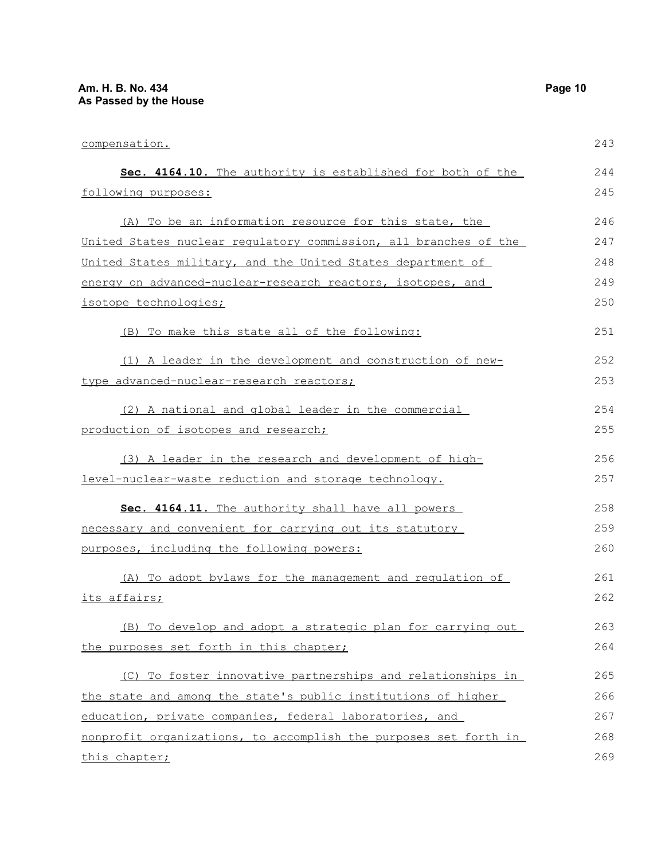compensation.

 **Sec. 4164.10.** The authority is established for both of the following purposes: (A) To be an information resource for this state, the United States nuclear regulatory commission, all branches of the United States military, and the United States department of energy on advanced-nuclear-research reactors, isotopes, and isotope technologies; (B) To make this state all of the following: (1) A leader in the development and construction of newtype advanced-nuclear-research reactors; (2) A national and global leader in the commercial production of isotopes and research; (3) A leader in the research and development of highlevel-nuclear-waste reduction and storage technology. 243 244 245 246 247 248 249 250 251 252 253 254 255 256 257

 **Sec. 4164.11.** The authority shall have all powers necessary and convenient for carrying out its statutory purposes, including the following powers: 258 259 260

(A) To adopt bylaws for the management and regulation of its affairs; (B) To develop and adopt a strategic plan for carrying out the purposes set forth in this chapter; 261 262 263 264 265

(C) To foster innovative partnerships and relationships in the state and among the state's public institutions of higher education, private companies, federal laboratories, and nonprofit organizations, to accomplish the purposes set forth in this chapter; 266 267 268 269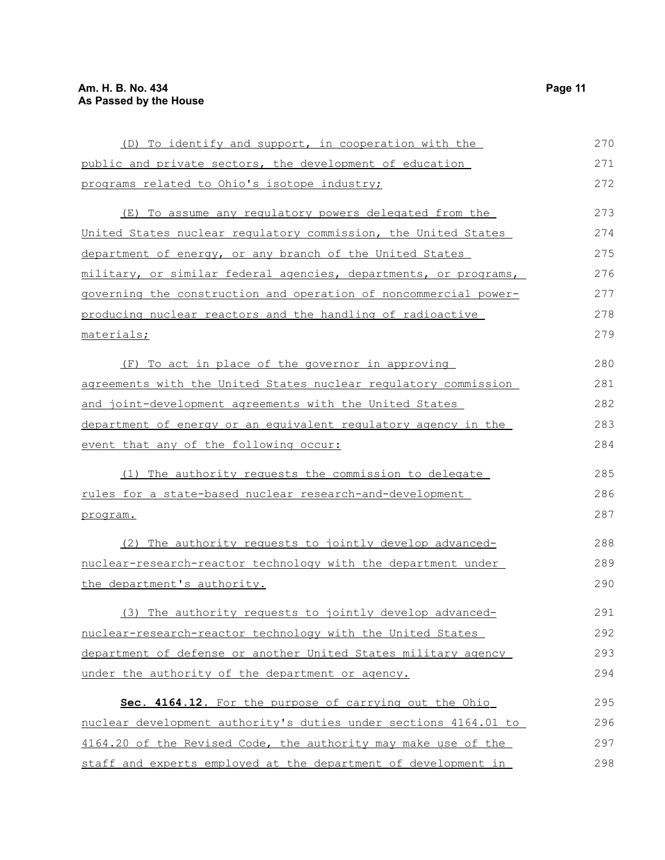| (D) To identify and support, in cooperation with the             | 270 |
|------------------------------------------------------------------|-----|
| public and private sectors, the development of education         | 271 |
| programs related to Ohio's isotope industry;                     | 272 |
| (E) To assume any regulatory powers delegated from the           | 273 |
| United States nuclear regulatory commission, the United States   | 274 |
| department of energy, or any branch of the United States         | 275 |
| military, or similar federal agencies, departments, or programs, | 276 |
| governing the construction and operation of noncommercial power- | 277 |
| producing nuclear reactors and the handling of radioactive       | 278 |
| materials;                                                       | 279 |
| (F) To act in place of the governor in approving                 | 280 |
| agreements with the United States nuclear regulatory commission  | 281 |
| <u>and joint-development agreements with the United States</u>   | 282 |
| department of energy or an equivalent regulatory agency in the   | 283 |
| event that any of the following occur:                           | 284 |
| (1) The authority requests the commission to delegate            | 285 |
| <u>rules for a state-based nuclear research-and-development</u>  | 286 |
| program.                                                         | 287 |
| (2) The authority requests to jointly develop advanced-          | 288 |
| nuclear-research-reactor technology with the department under    | 289 |
| the department's authority.                                      | 290 |
| (3) The authority requests to jointly develop advanced-          | 291 |
| nuclear-research-reactor technology with the United States       | 292 |
| department of defense or another United States military agency   | 293 |
| under the authority of the department or agency.                 | 294 |
| Sec. 4164.12. For the purpose of carrying out the Ohio           | 295 |
| nuclear development authority's duties under sections 4164.01 to | 296 |
| 4164.20 of the Revised Code, the authority may make use of the   | 297 |
| staff and experts employed at the department of development in   | 298 |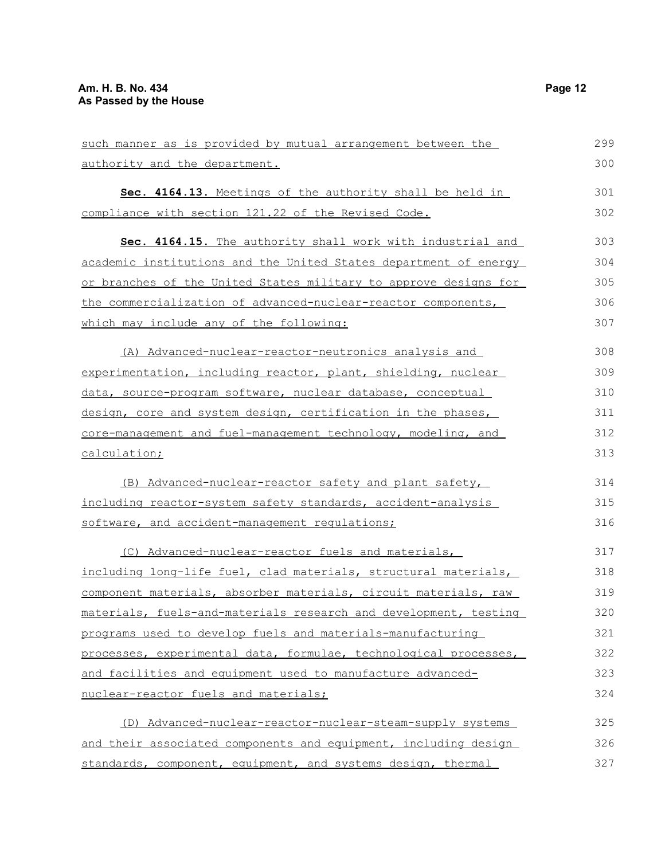| such manner as is provided by mutual arrangement between the |
|--------------------------------------------------------------|
| authority and the department.                                |
| Sec. 4164.13. Meetings of the authority shall be held in     |
| compliance with section 121.22 of the Revised Code.          |

| Sec. 4164.15. The authority shall work with industrial and       | 303 |
|------------------------------------------------------------------|-----|
| academic institutions and the United States department of energy | 304 |
| or branches of the United States military to approve designs for | 305 |
| the commercialization of advanced-nuclear-reactor components,    | 306 |
| which may include any of the following:                          | 307 |
| (A) Advanced-nuclear-reactor-neutronics analysis and             | 308 |
| experimentation, including reactor, plant, shielding, nuclear    | 309 |

| experimentation, including reactor, plant, shielding, nuclear | 309 |
|---------------------------------------------------------------|-----|
| data, source-program software, nuclear database, conceptual   | 310 |
| design, core and system design, certification in the phases,  | 311 |
| core-management and fuel-management technology, modeling, and | 312 |
| calculation;                                                  | 313 |

(B) Advanced-nuclear-reactor safety and plant safety, including reactor-system safety standards, accident-analysis software, and accident-management regulations; 314 315 316

| (C) Advanced-nuclear-reactor fuels and materials,                | 317 |
|------------------------------------------------------------------|-----|
| including long-life fuel, clad materials, structural materials,  | 318 |
| component materials, absorber materials, circuit materials, raw  | 319 |
| materials, fuels-and-materials research and development, testing | 320 |
| programs used to develop fuels and materials-manufacturing       | 321 |
| processes, experimental data, formulae, technological processes, | 322 |
| and facilities and equipment used to manufacture advanced-       | 323 |
| nuclear-reactor fuels and materials;                             | 324 |
|                                                                  |     |

(D) Advanced-nuclear-reactor-nuclear-steam-supply systems and their associated components and equipment, including design standards, component, equipment, and systems design, thermal 325 326 327

299 300

301 302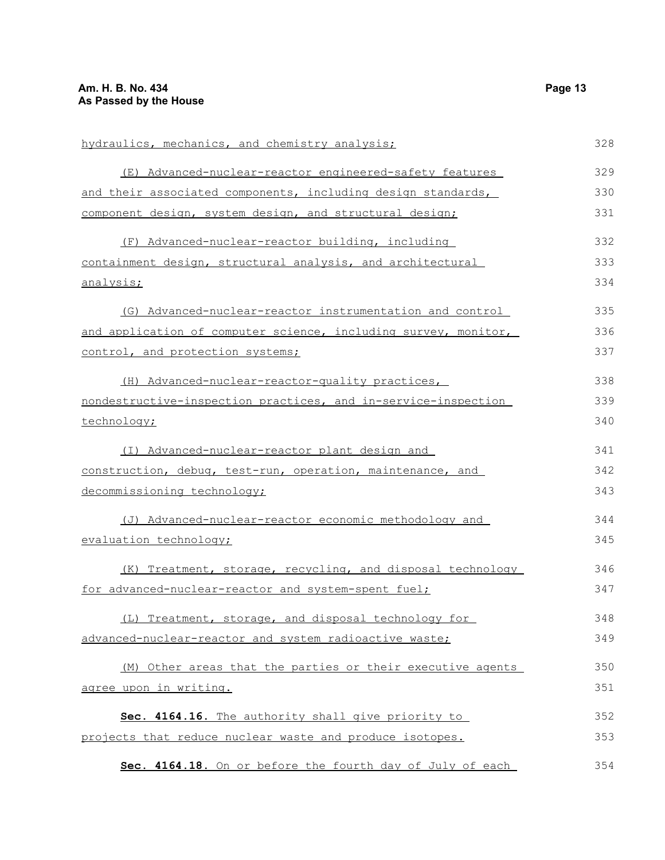| hydraulics, mechanics, and chemistry analysis;                  | 328 |
|-----------------------------------------------------------------|-----|
| (E) Advanced-nuclear-reactor engineered-safety features         | 329 |
| and their associated components, including design standards,    | 330 |
| component design, system design, and structural design;         | 331 |
| (F) Advanced-nuclear-reactor building, including                | 332 |
| containment design, structural analysis, and architectural      | 333 |
| analysis;                                                       | 334 |
| (G) Advanced-nuclear-reactor instrumentation and control        | 335 |
| and application of computer science, including survey, monitor, | 336 |
| control, and protection systems;                                | 337 |
| (H) Advanced-nuclear-reactor-quality practices,                 | 338 |
| nondestructive-inspection practices, and in-service-inspection  | 339 |
| technology;                                                     | 340 |
| (I) Advanced-nuclear-reactor plant design and                   | 341 |
| construction, debug, test-run, operation, maintenance, and      | 342 |
| decommissioning technology;                                     | 343 |
| (J) Advanced-nuclear-reactor economic methodology and           | 344 |
| evaluation technology;                                          | 345 |
| (K) Treatment, storage, recycling, and disposal technology      | 346 |
| for advanced-nuclear-reactor and system-spent fuel;             | 347 |
| (L) Treatment, storage, and disposal technology for             | 348 |
| advanced-nuclear-reactor and system radioactive waste;          | 349 |
| (M) Other areas that the parties or their executive agents      | 350 |
| agree upon in writing.                                          | 351 |
| Sec. 4164.16. The authority shall give priority to              | 352 |
| projects that reduce nuclear waste and produce isotopes.        | 353 |
| Sec. 4164.18. On or before the fourth day of July of each       | 354 |